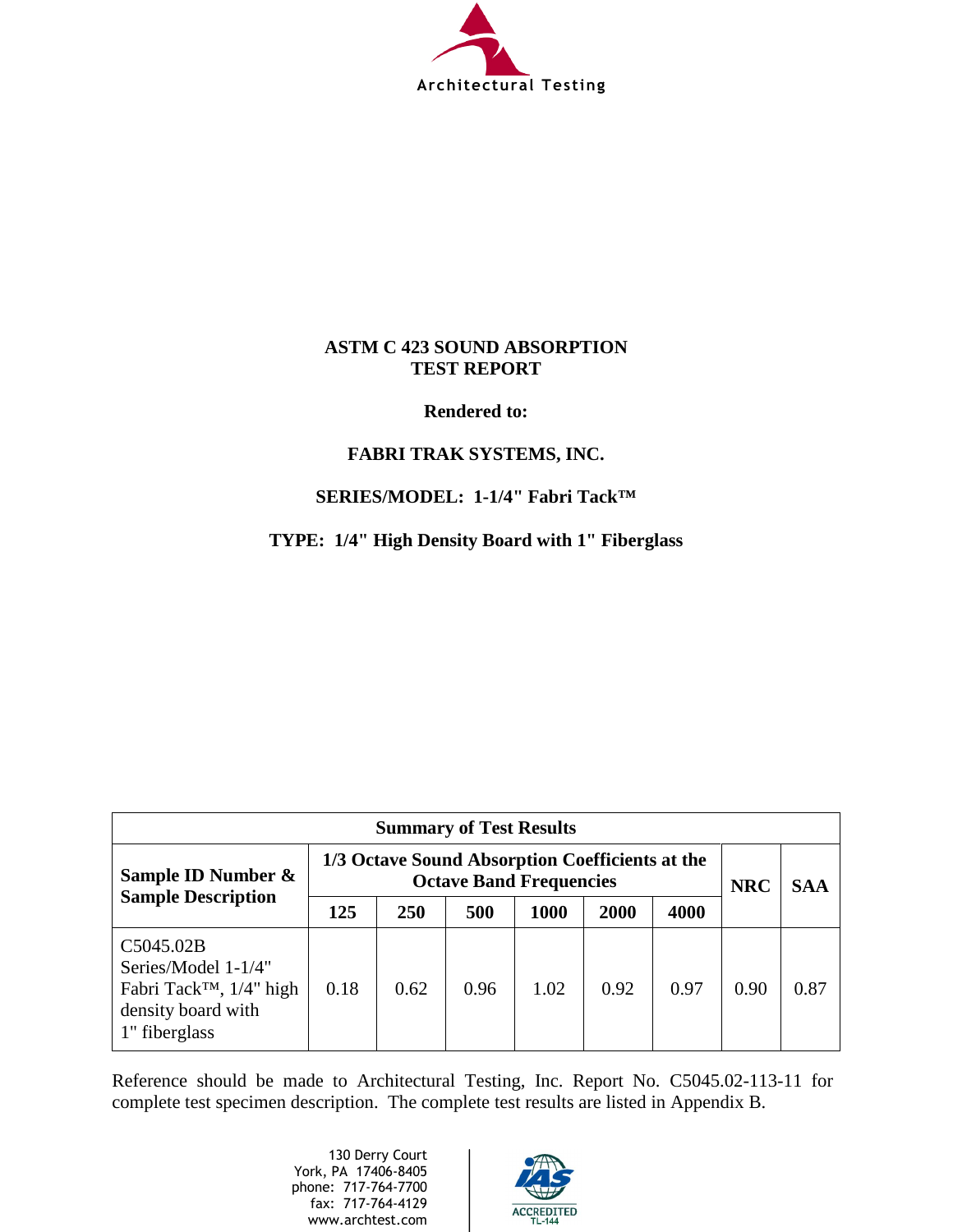

## **ASTM C 423 SOUND ABSORPTION TEST REPORT**

## **Rendered to:**

# **FABRI TRAK SYSTEMS, INC.**

# **SERIES/MODEL: 1-1/4" Fabri Tack™**

**TYPE: 1/4" High Density Board with 1" Fiberglass** 

| <b>Summary of Test Results</b>                                                                                 |                                                                                   |      |      |      |      |      |            |            |
|----------------------------------------------------------------------------------------------------------------|-----------------------------------------------------------------------------------|------|------|------|------|------|------------|------------|
| Sample ID Number &                                                                                             | 1/3 Octave Sound Absorption Coefficients at the<br><b>Octave Band Frequencies</b> |      |      |      |      |      | <b>NRC</b> | <b>SAA</b> |
| <b>Sample Description</b>                                                                                      | 125                                                                               | 250  | 500  | 1000 | 2000 | 4000 |            |            |
| C5045.02B<br>Series/Model 1-1/4"<br>Fabri Tack <sup>™</sup> , 1/4" high<br>density board with<br>1" fiberglass | 0.18                                                                              | 0.62 | 0.96 | 1.02 | 0.92 | 0.97 | 0.90       | 0.87       |

Reference should be made to Architectural Testing, Inc. Report No. C5045.02-113-11 for complete test specimen description. The complete test results are listed in Appendix B.

> 130 Derry Court York, PA 17406-8405 phone: 717-764-7700 fax: 717-764-4129 www.archtest.com

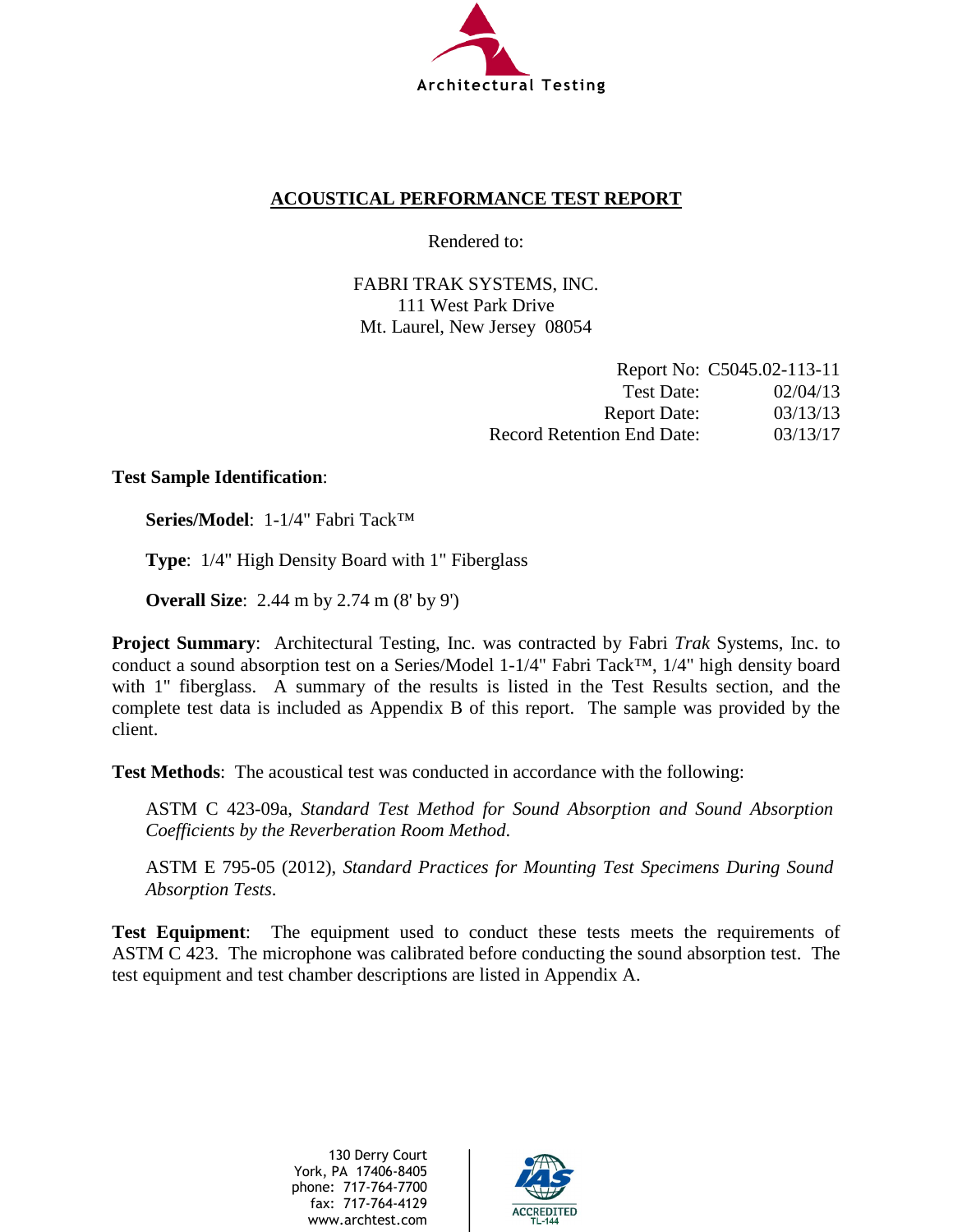

# **ACOUSTICAL PERFORMANCE TEST REPORT**

Rendered to:

FABRI TRAK SYSTEMS, INC. 111 West Park Drive Mt. Laurel, New Jersey 08054

|                                   | Report No: C5045.02-113-11 |
|-----------------------------------|----------------------------|
| Test Date:                        | 02/04/13                   |
| <b>Report Date:</b>               | 03/13/13                   |
| <b>Record Retention End Date:</b> | 03/13/17                   |

## **Test Sample Identification**:

**Series/Model**: 1-1/4" Fabri Tack™

**Type**: 1/4" High Density Board with 1" Fiberglass

**Overall Size**: 2.44 m by 2.74 m (8' by 9')

**Project Summary**: Architectural Testing, Inc. was contracted by Fabri *Trak* Systems, Inc. to conduct a sound absorption test on a Series/Model 1-1/4" Fabri Tack™, 1/4" high density board with 1" fiberglass. A summary of the results is listed in the Test Results section, and the complete test data is included as Appendix B of this report. The sample was provided by the client.

**Test Methods**: The acoustical test was conducted in accordance with the following:

ASTM C 423-09a, *Standard Test Method for Sound Absorption and Sound Absorption Coefficients by the Reverberation Room Method*.

ASTM E 795-05 (2012), *Standard Practices for Mounting Test Specimens During Sound Absorption Tests*.

**Test Equipment**: The equipment used to conduct these tests meets the requirements of ASTM C 423. The microphone was calibrated before conducting the sound absorption test. The test equipment and test chamber descriptions are listed in Appendix A.

> 130 Derry Court York, PA 17406-8405 phone: 717-764-7700 fax: 717-764-4129 www.archtest.com

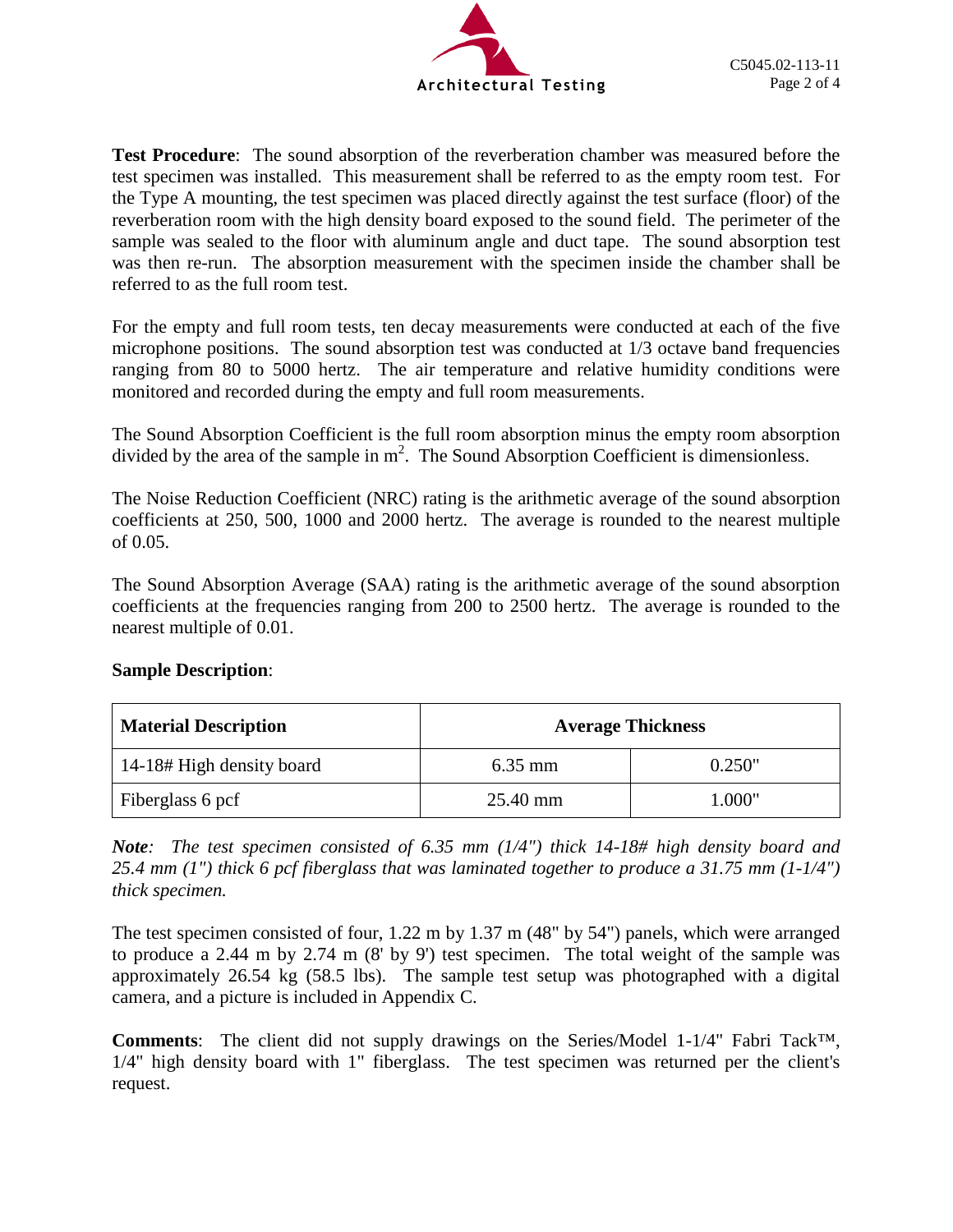

**Test Procedure**: The sound absorption of the reverberation chamber was measured before the test specimen was installed. This measurement shall be referred to as the empty room test. For the Type A mounting, the test specimen was placed directly against the test surface (floor) of the reverberation room with the high density board exposed to the sound field. The perimeter of the sample was sealed to the floor with aluminum angle and duct tape. The sound absorption test was then re-run. The absorption measurement with the specimen inside the chamber shall be referred to as the full room test.

For the empty and full room tests, ten decay measurements were conducted at each of the five microphone positions. The sound absorption test was conducted at 1/3 octave band frequencies ranging from 80 to 5000 hertz. The air temperature and relative humidity conditions were monitored and recorded during the empty and full room measurements.

The Sound Absorption Coefficient is the full room absorption minus the empty room absorption divided by the area of the sample in  $m^2$ . The Sound Absorption Coefficient is dimensionless.

The Noise Reduction Coefficient (NRC) rating is the arithmetic average of the sound absorption coefficients at 250, 500, 1000 and 2000 hertz. The average is rounded to the nearest multiple of 0.05.

The Sound Absorption Average (SAA) rating is the arithmetic average of the sound absorption coefficients at the frequencies ranging from 200 to 2500 hertz. The average is rounded to the nearest multiple of 0.01.

| <b>Material Description</b> | <b>Average Thickness</b> |        |
|-----------------------------|--------------------------|--------|
| 14-18# High density board   | $6.35$ mm                | 0.250" |
| Fiberglass 6 pcf            | 25.40 mm                 | 1.000" |

# **Sample Description**:

*Note: The test specimen consisted of 6.35 mm (1/4") thick 14-18# high density board and 25.4 mm (1") thick 6 pcf fiberglass that was laminated together to produce a 31.75 mm (1-1/4") thick specimen.*

The test specimen consisted of four, 1.22 m by 1.37 m (48" by 54") panels, which were arranged to produce a 2.44 m by 2.74 m (8' by 9') test specimen. The total weight of the sample was approximately 26.54 kg (58.5 lbs). The sample test setup was photographed with a digital camera, and a picture is included in Appendix C.

**Comments**: The client did not supply drawings on the Series/Model 1-1/4" Fabri Tack™, 1/4" high density board with 1" fiberglass. The test specimen was returned per the client's request.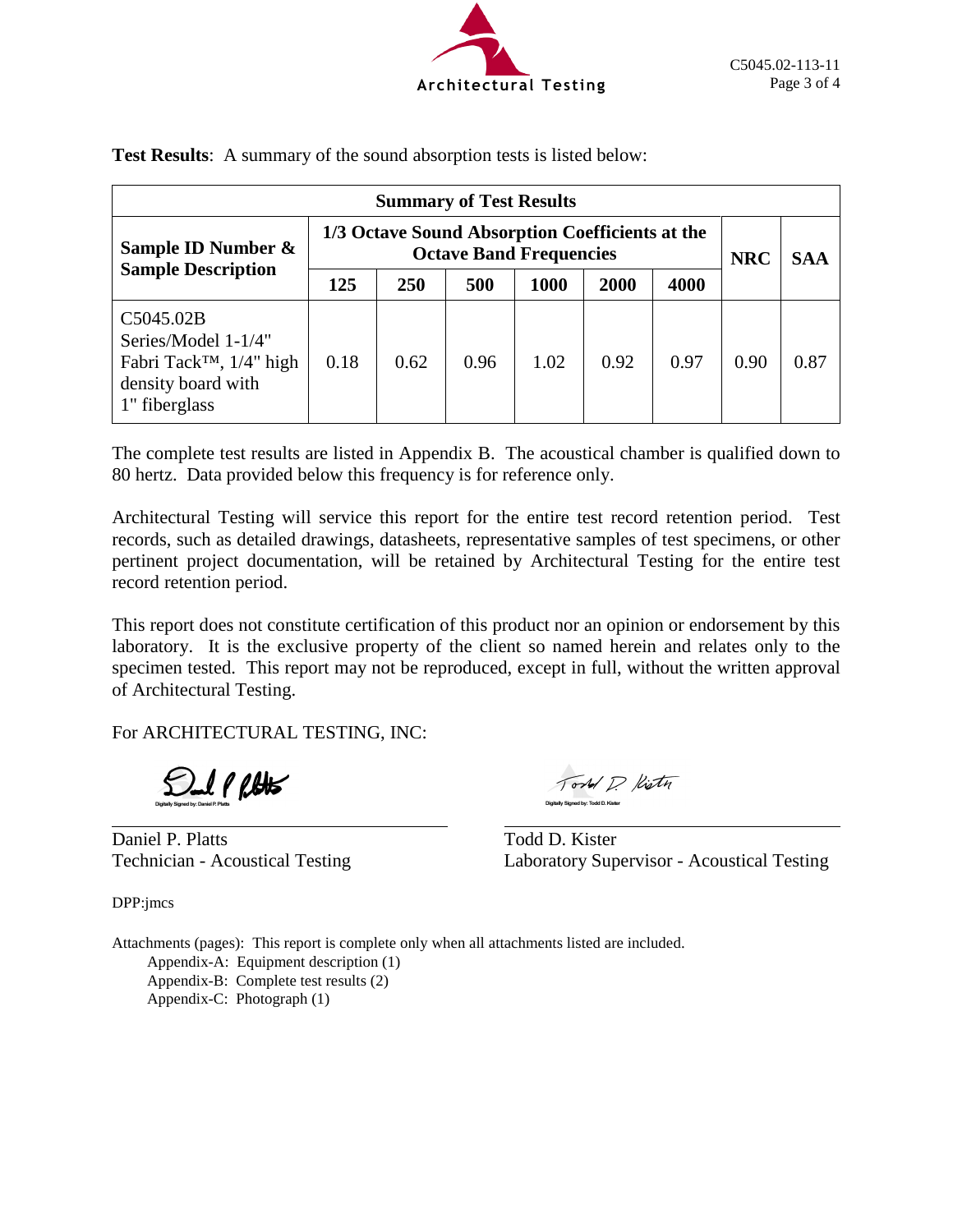

| <b>Summary of Test Results</b>                                                                                 |                                                                                   |      |      |      |      |      |            |            |
|----------------------------------------------------------------------------------------------------------------|-----------------------------------------------------------------------------------|------|------|------|------|------|------------|------------|
| Sample ID Number &                                                                                             | 1/3 Octave Sound Absorption Coefficients at the<br><b>Octave Band Frequencies</b> |      |      |      |      |      | <b>NRC</b> | <b>SAA</b> |
| <b>Sample Description</b>                                                                                      | 125                                                                               | 250  | 500  | 1000 | 2000 | 4000 |            |            |
| C5045.02B<br>Series/Model 1-1/4"<br>Fabri Tack <sup>™</sup> , 1/4" high<br>density board with<br>1" fiberglass | 0.18                                                                              | 0.62 | 0.96 | 1.02 | 0.92 | 0.97 | 0.90       | 0.87       |

**Test Results**: A summary of the sound absorption tests is listed below:

The complete test results are listed in Appendix B. The acoustical chamber is qualified down to 80 hertz. Data provided below this frequency is for reference only.

Architectural Testing will service this report for the entire test record retention period. Test records, such as detailed drawings, datasheets, representative samples of test specimens, or other pertinent project documentation, will be retained by Architectural Testing for the entire test record retention period.

This report does not constitute certification of this product nor an opinion or endorsement by this laboratory. It is the exclusive property of the client so named herein and relates only to the specimen tested. This report may not be reproduced, except in full, without the written approval of Architectural Testing.

For ARCHITECTURAL TESTING, INC:

 $\mathcal{L}$   $\ell$   $\ell$ 

Daniel P. Platts Todd D. Kister

Torld D. Kistn

Technician - Acoustical Testing Laboratory Supervisor - Acoustical Testing

DPP:jmcs

Attachments (pages): This report is complete only when all attachments listed are included. Appendix-A: Equipment description (1) Appendix-B: Complete test results (2) Appendix-C: Photograph (1)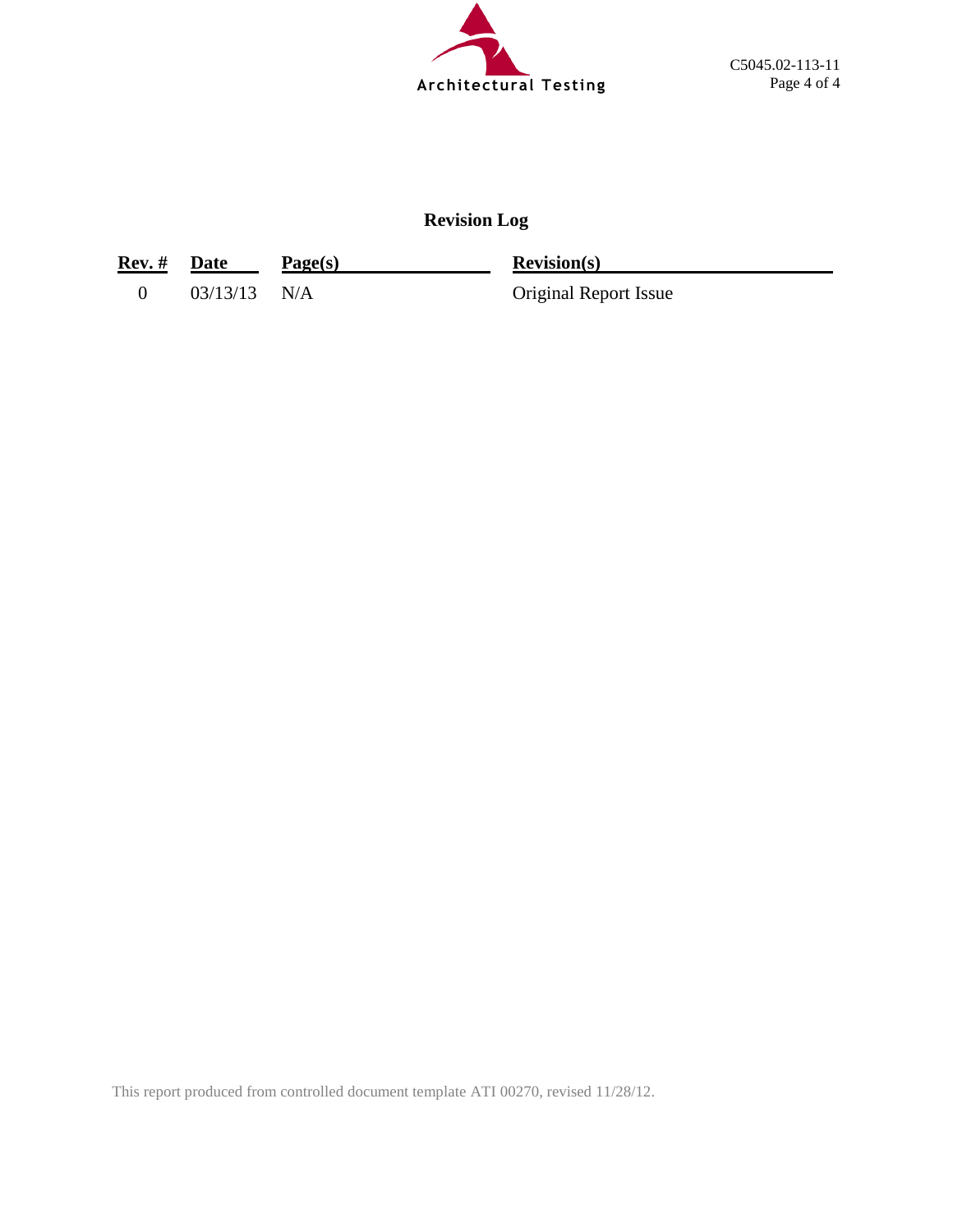

# **Revision Log**

| <b>Rev.</b> # Date |                | Page(s) | <b>Revision(s)</b>           |
|--------------------|----------------|---------|------------------------------|
|                    | $03/13/13$ N/A |         | <b>Original Report Issue</b> |

This report produced from controlled document template ATI 00270, revised 11/28/12.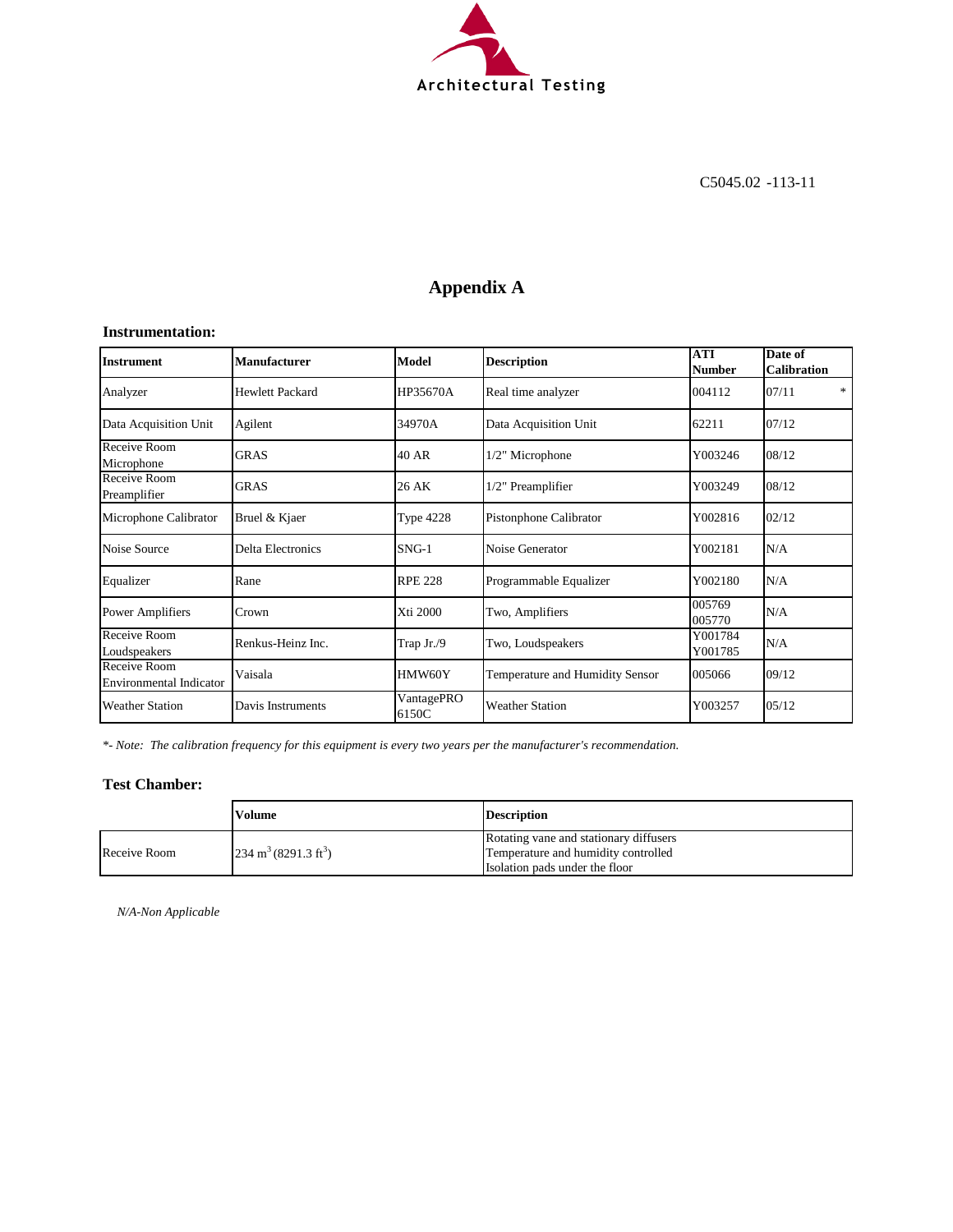

# **Appendix A**

#### **Instrumentation:**

| Instrument                                     | <b>Manufacturer</b>      | Model               | <b>Description</b>              | <b>ATI</b><br><b>Number</b> | Date of<br><b>Calibration</b> |
|------------------------------------------------|--------------------------|---------------------|---------------------------------|-----------------------------|-------------------------------|
| Analyzer                                       | <b>Hewlett Packard</b>   | HP35670A            | Real time analyzer              | 004112                      | *<br>07/11                    |
| Data Acquisition Unit                          | Agilent                  | 34970A              | Data Acquisition Unit           | 62211                       | 07/12                         |
| Receive Room<br>Microphone                     | <b>GRAS</b>              | 40 AR               | 1/2" Microphone                 | Y003246                     | 08/12                         |
| Receive Room<br>Preamplifier                   | <b>GRAS</b>              | 26 AK               | 1/2" Preamplifier               | Y003249                     | 08/12                         |
| Microphone Calibrator                          | Bruel & Kjaer            | <b>Type 4228</b>    | Pistonphone Calibrator          | Y002816                     | 02/12                         |
| Noise Source                                   | <b>Delta Electronics</b> | $SNG-1$             | Noise Generator                 | Y002181                     | N/A                           |
| Equalizer                                      | Rane                     | <b>RPE 228</b>      | Programmable Equalizer          | Y002180                     | N/A                           |
| Power Amplifiers                               | Crown                    | Xti 2000            | Two, Amplifiers                 | 005769<br>005770            | N/A                           |
| Receive Room<br>Loudspeakers                   | Renkus-Heinz Inc.        | Trap Jr./9          | Two, Loudspeakers               | Y001784<br>Y001785          | N/A                           |
| Receive Room<br><b>Environmental Indicator</b> | Vaisala                  | HMW60Y              | Temperature and Humidity Sensor | 005066                      | 09/12                         |
| <b>Weather Station</b>                         | Davis Instruments        | VantagePRO<br>6150C | <b>Weather Station</b>          | Y003257                     | 05/12                         |

*\*- Note: The calibration frequency for this equipment is every two years per the manufacturer's recommendation.*

#### **Test Chamber:**

|              | Volume                                  | <b>Description</b>                     |
|--------------|-----------------------------------------|----------------------------------------|
|              |                                         | Rotating vane and stationary diffusers |
| Receive Room | $234 \text{ m}^3 (8291.3 \text{ ft}^3)$ | Temperature and humidity controlled    |
|              |                                         | Isolation pads under the floor         |

*N/A-Non Applicable*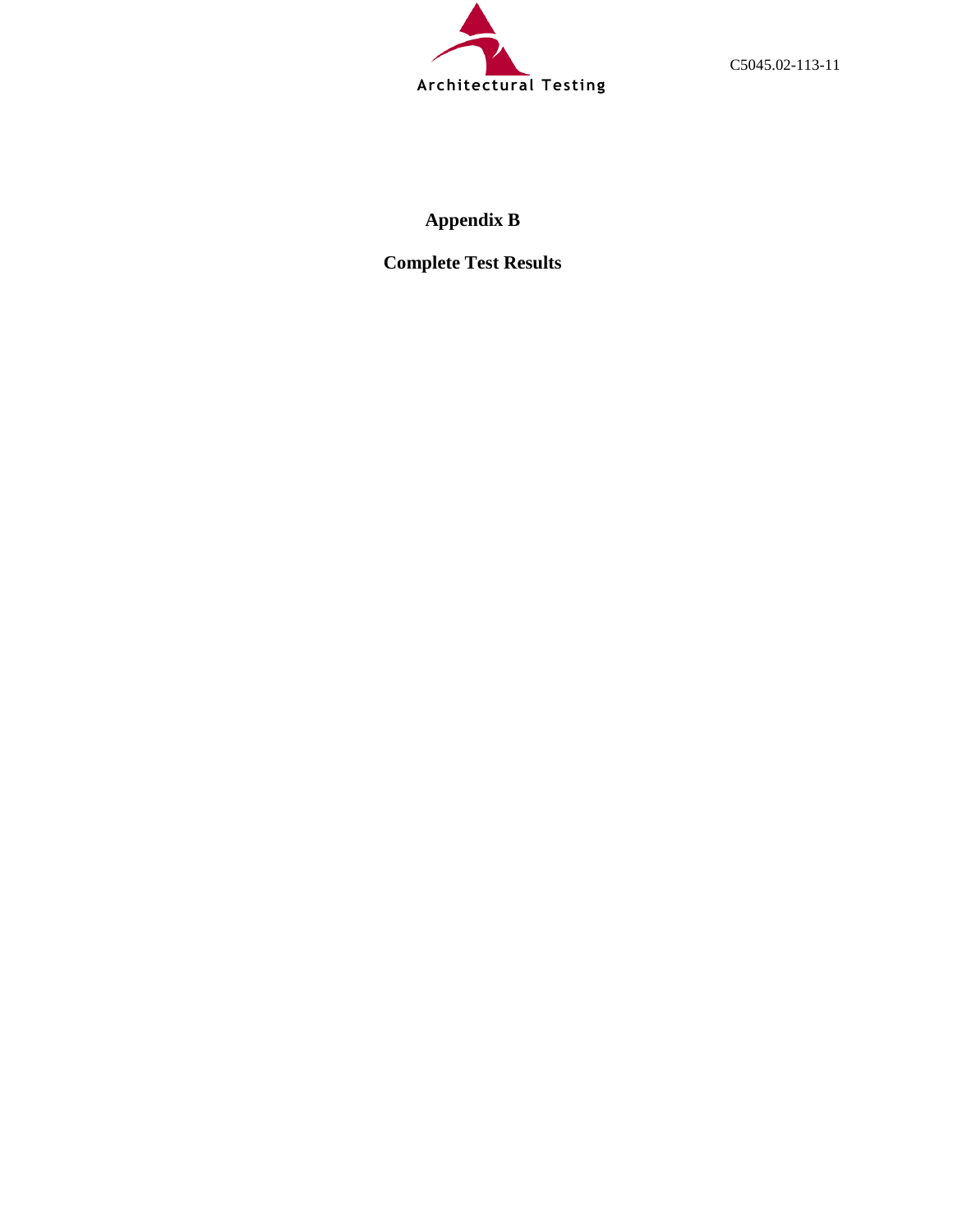

C5045.02-113-11

# **Appendix B**

**Complete Test Results**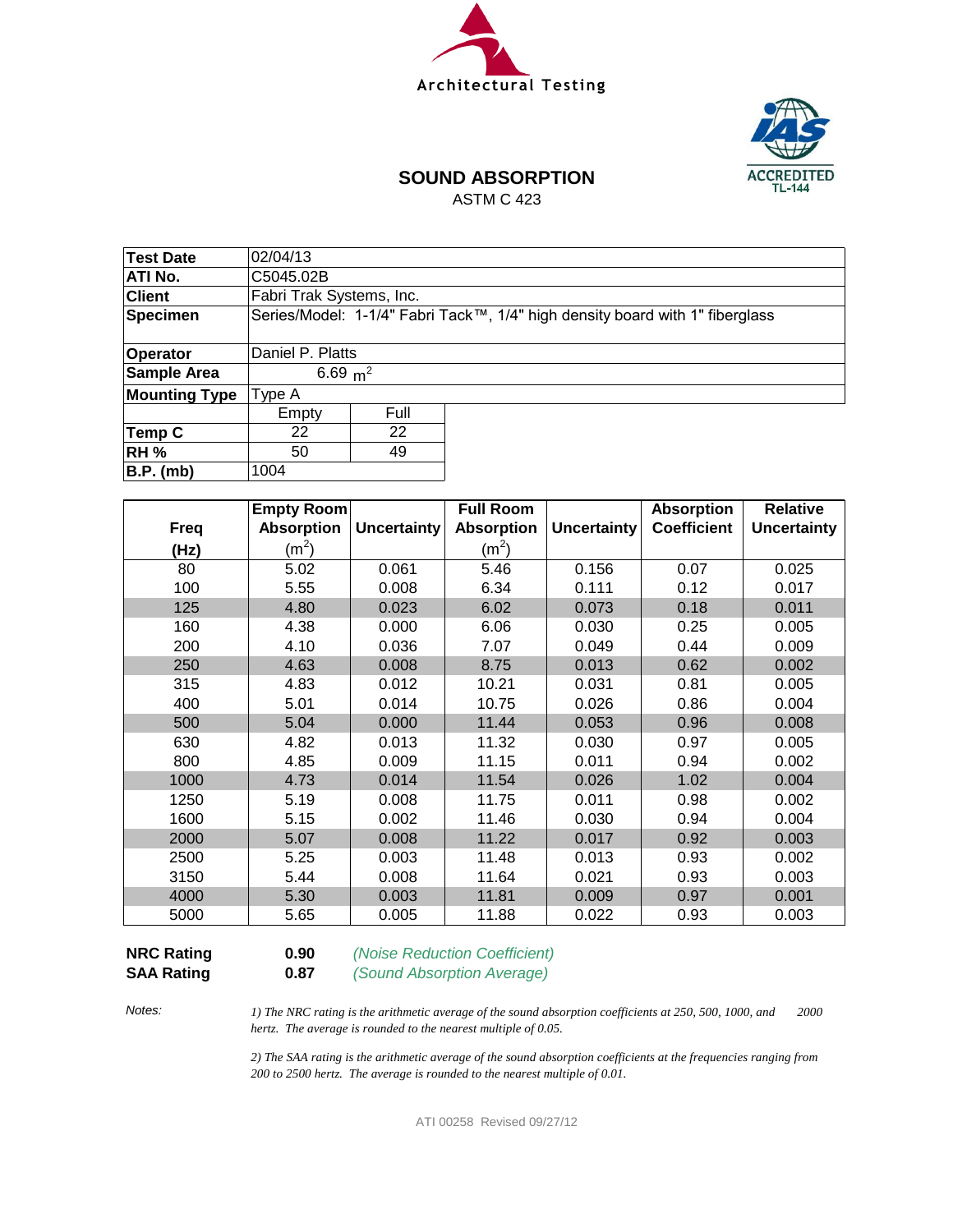



# **SOUND ABSORPTION**

ASTM C 423

| <b>Test Date</b>     | 02/04/13                 |      |                                                                              |  |  |  |  |  |
|----------------------|--------------------------|------|------------------------------------------------------------------------------|--|--|--|--|--|
| ATI No.              | C5045.02B                |      |                                                                              |  |  |  |  |  |
| <b>Client</b>        | Fabri Trak Systems, Inc. |      |                                                                              |  |  |  |  |  |
| Specimen             |                          |      | Series/Model: 1-1/4" Fabri Tack™, 1/4" high density board with 1" fiberglass |  |  |  |  |  |
|                      |                          |      |                                                                              |  |  |  |  |  |
| Operator             | Daniel P. Platts         |      |                                                                              |  |  |  |  |  |
| Sample Area          | 6.69 $m^2$               |      |                                                                              |  |  |  |  |  |
| <b>Mounting Type</b> | Type A                   |      |                                                                              |  |  |  |  |  |
|                      | Empty                    | Full |                                                                              |  |  |  |  |  |
| Temp C               | 22<br>22                 |      |                                                                              |  |  |  |  |  |
| <b>RH %</b>          | 49<br>50                 |      |                                                                              |  |  |  |  |  |
| B.P. (mb)            | 1004                     |      |                                                                              |  |  |  |  |  |

|             | Empty Room        |                    | <b>Full Room</b>  |                    | <b>Absorption</b>  | <b>Relative</b>    |
|-------------|-------------------|--------------------|-------------------|--------------------|--------------------|--------------------|
| <b>Freq</b> | <b>Absorption</b> | <b>Uncertainty</b> | <b>Absorption</b> | <b>Uncertainty</b> | <b>Coefficient</b> | <b>Uncertainty</b> |
| (Hz)        | (m <sup>2</sup> ) |                    | $(m^2)$           |                    |                    |                    |
| 80          | 5.02              | 0.061              | 5.46              | 0.156              | 0.07               | 0.025              |
| 100         | 5.55              | 0.008              | 6.34              | 0.111              | 0.12               | 0.017              |
| 125         | 4.80              | 0.023              | 6.02              | 0.073              | 0.18               | 0.011              |
| 160         | 4.38              | 0.000              | 6.06              | 0.030              | 0.25               | 0.005              |
| 200         | 4.10              | 0.036              | 7.07              | 0.049              | 0.44               | 0.009              |
| 250         | 4.63              | 0.008              | 8.75              | 0.013              | 0.62               | 0.002              |
| 315         | 4.83              | 0.012              | 10.21             | 0.031              | 0.81               | 0.005              |
| 400         | 5.01              | 0.014              | 10.75             | 0.026              | 0.86               | 0.004              |
| 500         | 5.04              | 0.000              | 11.44             | 0.053              | 0.96               | 0.008              |
| 630         | 4.82              | 0.013              | 11.32             | 0.030              | 0.97               | 0.005              |
| 800         | 4.85              | 0.009              | 11.15             | 0.011              | 0.94               | 0.002              |
| 1000        | 4.73              | 0.014              | 11.54             | 0.026              | 1.02               | 0.004              |
| 1250        | 5.19              | 0.008              | 11.75             | 0.011              | 0.98               | 0.002              |
| 1600        | 5.15              | 0.002              | 11.46             | 0.030              | 0.94               | 0.004              |
| 2000        | 5.07              | 0.008              | 11.22             | 0.017              | 0.92               | 0.003              |
| 2500        | 5.25              | 0.003              | 11.48             | 0.013              | 0.93               | 0.002              |
| 3150        | 5.44              | 0.008              | 11.64             | 0.021              | 0.93               | 0.003              |
| 4000        | 5.30              | 0.003              | 11.81             | 0.009              | 0.97               | 0.001              |
| 5000        | 5.65              | 0.005              | 11.88             | 0.022              | 0.93               | 0.003              |

**SAA Rating 0.87** *(Sound Absorption Average)*

**NRC Rating 0.90** *(Noise Reduction Coefficient)*

*Notes:*

*1) The NRC rating is the arithmetic average of the sound absorption coefficients at 250, 500, 1000, and 2000 hertz. The average is rounded to the nearest multiple of 0.05.*

*2) The SAA rating is the arithmetic average of the sound absorption coefficients at the frequencies ranging from 200 to 2500 hertz. The average is rounded to the nearest multiple of 0.01.*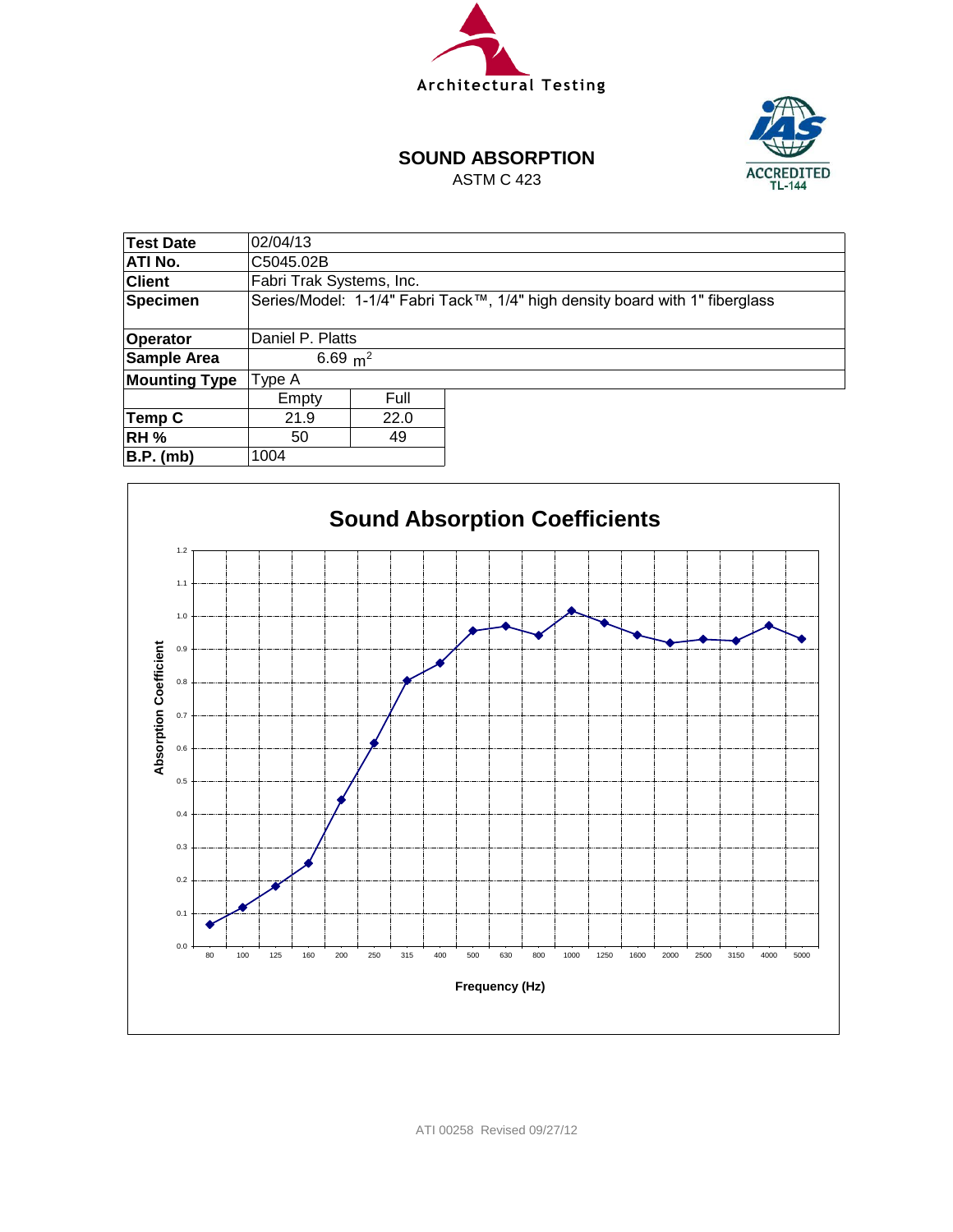



#### **SOUND ABSORPTION**

ASTM C 423

| Test Date            | 02/04/13                 |            |                                                                              |  |  |  |  |
|----------------------|--------------------------|------------|------------------------------------------------------------------------------|--|--|--|--|
| ATI No.              | C5045.02B                |            |                                                                              |  |  |  |  |
| <b>Client</b>        | Fabri Trak Systems, Inc. |            |                                                                              |  |  |  |  |
| <b>Specimen</b>      |                          |            | Series/Model: 1-1/4" Fabri Tack™, 1/4" high density board with 1" fiberglass |  |  |  |  |
|                      |                          |            |                                                                              |  |  |  |  |
| Operator             | Daniel P. Platts         |            |                                                                              |  |  |  |  |
| Sample Area          |                          | 6.69 $m^2$ |                                                                              |  |  |  |  |
| <b>Mounting Type</b> | Type A                   |            |                                                                              |  |  |  |  |
|                      | Empty                    | Full       |                                                                              |  |  |  |  |
| Temp C               | 21.9<br>22.0             |            |                                                                              |  |  |  |  |
| <b>RH %</b>          | 49<br>50                 |            |                                                                              |  |  |  |  |
| $B.P.$ (mb)          | 1004                     |            |                                                                              |  |  |  |  |